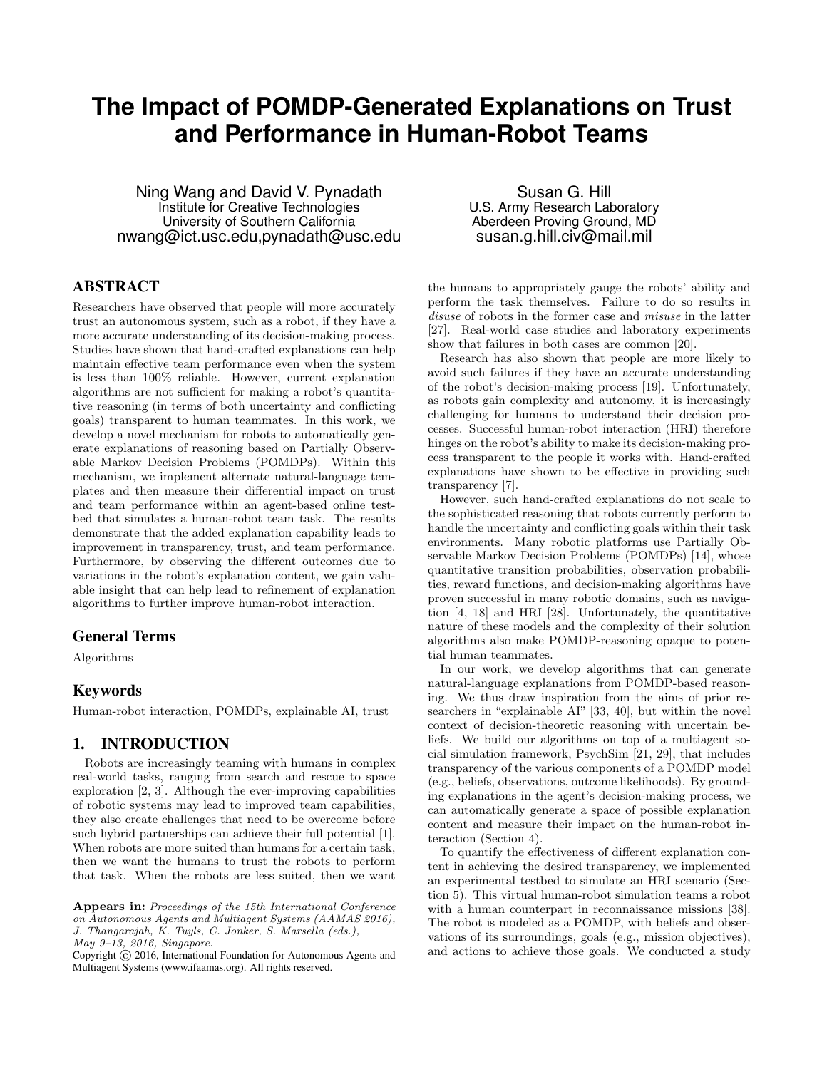# **The Impact of POMDP-Generated Explanations on Trust and Performance in Human-Robot Teams**

Ning Wang and David V. Pynadath Institute for Creative Technologies University of Southern California nwang@ict.usc.edu,pynadath@usc.edu

Susan G. Hill U.S. Army Research Laboratory Aberdeen Proving Ground, MD susan.g.hill.civ@mail.mil

# ABSTRACT

Researchers have observed that people will more accurately trust an autonomous system, such as a robot, if they have a more accurate understanding of its decision-making process. Studies have shown that hand-crafted explanations can help maintain effective team performance even when the system is less than 100% reliable. However, current explanation algorithms are not sufficient for making a robot's quantitative reasoning (in terms of both uncertainty and conflicting goals) transparent to human teammates. In this work, we develop a novel mechanism for robots to automatically generate explanations of reasoning based on Partially Observable Markov Decision Problems (POMDPs). Within this mechanism, we implement alternate natural-language templates and then measure their differential impact on trust and team performance within an agent-based online testbed that simulates a human-robot team task. The results demonstrate that the added explanation capability leads to improvement in transparency, trust, and team performance. Furthermore, by observing the different outcomes due to variations in the robot's explanation content, we gain valuable insight that can help lead to refinement of explanation algorithms to further improve human-robot interaction.

### General Terms

Algorithms

### Keywords

Human-robot interaction, POMDPs, explainable AI, trust

### 1. INTRODUCTION

Robots are increasingly teaming with humans in complex real-world tasks, ranging from search and rescue to space exploration [2, 3]. Although the ever-improving capabilities of robotic systems may lead to improved team capabilities, they also create challenges that need to be overcome before such hybrid partnerships can achieve their full potential [1]. When robots are more suited than humans for a certain task, then we want the humans to trust the robots to perform that task. When the robots are less suited, then we want the humans to appropriately gauge the robots' ability and perform the task themselves. Failure to do so results in disuse of robots in the former case and *misuse* in the latter [27]. Real-world case studies and laboratory experiments show that failures in both cases are common [20].

Research has also shown that people are more likely to avoid such failures if they have an accurate understanding of the robot's decision-making process [19]. Unfortunately, as robots gain complexity and autonomy, it is increasingly challenging for humans to understand their decision processes. Successful human-robot interaction (HRI) therefore hinges on the robot's ability to make its decision-making process transparent to the people it works with. Hand-crafted explanations have shown to be effective in providing such transparency [7].

However, such hand-crafted explanations do not scale to the sophisticated reasoning that robots currently perform to handle the uncertainty and conflicting goals within their task environments. Many robotic platforms use Partially Observable Markov Decision Problems (POMDPs) [14], whose quantitative transition probabilities, observation probabilities, reward functions, and decision-making algorithms have proven successful in many robotic domains, such as navigation [4, 18] and HRI [28]. Unfortunately, the quantitative nature of these models and the complexity of their solution algorithms also make POMDP-reasoning opaque to potential human teammates.

In our work, we develop algorithms that can generate natural-language explanations from POMDP-based reasoning. We thus draw inspiration from the aims of prior researchers in "explainable AI" [33, 40], but within the novel context of decision-theoretic reasoning with uncertain beliefs. We build our algorithms on top of a multiagent social simulation framework, PsychSim [21, 29], that includes transparency of the various components of a POMDP model (e.g., beliefs, observations, outcome likelihoods). By grounding explanations in the agent's decision-making process, we can automatically generate a space of possible explanation content and measure their impact on the human-robot interaction (Section 4).

To quantify the effectiveness of different explanation content in achieving the desired transparency, we implemented an experimental testbed to simulate an HRI scenario (Section 5). This virtual human-robot simulation teams a robot with a human counterpart in reconnaissance missions [38]. The robot is modeled as a POMDP, with beliefs and observations of its surroundings, goals (e.g., mission objectives), and actions to achieve those goals. We conducted a study

Appears in: Proceedings of the 15th International Conference on Autonomous Agents and Multiagent Systems (AAMAS 2016), J. Thangarajah, K. Tuyls, C. Jonker, S. Marsella (eds.), May 9–13, 2016, Singapore.

Copyright (C) 2016, International Foundation for Autonomous Agents and Multiagent Systems (www.ifaamas.org). All rights reserved.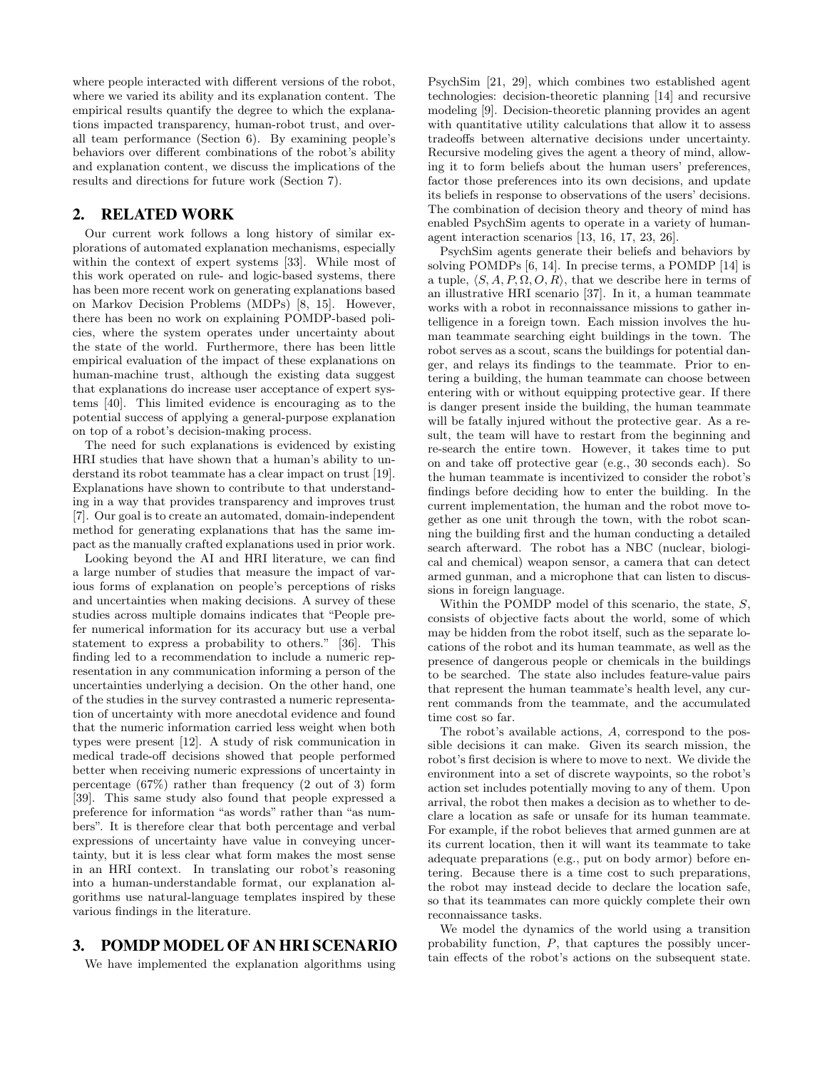where people interacted with different versions of the robot, where we varied its ability and its explanation content. The empirical results quantify the degree to which the explanations impacted transparency, human-robot trust, and overall team performance (Section 6). By examining people's behaviors over different combinations of the robot's ability and explanation content, we discuss the implications of the results and directions for future work (Section 7).

# 2. RELATED WORK

Our current work follows a long history of similar explorations of automated explanation mechanisms, especially within the context of expert systems [33]. While most of this work operated on rule- and logic-based systems, there has been more recent work on generating explanations based on Markov Decision Problems (MDPs) [8, 15]. However, there has been no work on explaining POMDP-based policies, where the system operates under uncertainty about the state of the world. Furthermore, there has been little empirical evaluation of the impact of these explanations on human-machine trust, although the existing data suggest that explanations do increase user acceptance of expert systems [40]. This limited evidence is encouraging as to the potential success of applying a general-purpose explanation on top of a robot's decision-making process.

The need for such explanations is evidenced by existing HRI studies that have shown that a human's ability to understand its robot teammate has a clear impact on trust [19]. Explanations have shown to contribute to that understanding in a way that provides transparency and improves trust [7]. Our goal is to create an automated, domain-independent method for generating explanations that has the same impact as the manually crafted explanations used in prior work.

Looking beyond the AI and HRI literature, we can find a large number of studies that measure the impact of various forms of explanation on people's perceptions of risks and uncertainties when making decisions. A survey of these studies across multiple domains indicates that "People prefer numerical information for its accuracy but use a verbal statement to express a probability to others." [36]. This finding led to a recommendation to include a numeric representation in any communication informing a person of the uncertainties underlying a decision. On the other hand, one of the studies in the survey contrasted a numeric representation of uncertainty with more anecdotal evidence and found that the numeric information carried less weight when both types were present [12]. A study of risk communication in medical trade-off decisions showed that people performed better when receiving numeric expressions of uncertainty in percentage (67%) rather than frequency (2 out of 3) form [39]. This same study also found that people expressed a preference for information "as words" rather than "as numbers". It is therefore clear that both percentage and verbal expressions of uncertainty have value in conveying uncertainty, but it is less clear what form makes the most sense in an HRI context. In translating our robot's reasoning into a human-understandable format, our explanation algorithms use natural-language templates inspired by these various findings in the literature.

# 3. POMDP MODEL OF AN HRI SCENARIO

We have implemented the explanation algorithms using

PsychSim [21, 29], which combines two established agent technologies: decision-theoretic planning [14] and recursive modeling [9]. Decision-theoretic planning provides an agent with quantitative utility calculations that allow it to assess tradeoffs between alternative decisions under uncertainty. Recursive modeling gives the agent a theory of mind, allowing it to form beliefs about the human users' preferences, factor those preferences into its own decisions, and update its beliefs in response to observations of the users' decisions. The combination of decision theory and theory of mind has enabled PsychSim agents to operate in a variety of humanagent interaction scenarios [13, 16, 17, 23, 26].

PsychSim agents generate their beliefs and behaviors by solving POMDPs [6, 14]. In precise terms, a POMDP [14] is a tuple,  $\langle S, A, P, \Omega, O, R \rangle$ , that we describe here in terms of an illustrative HRI scenario [37]. In it, a human teammate works with a robot in reconnaissance missions to gather intelligence in a foreign town. Each mission involves the human teammate searching eight buildings in the town. The robot serves as a scout, scans the buildings for potential danger, and relays its findings to the teammate. Prior to entering a building, the human teammate can choose between entering with or without equipping protective gear. If there is danger present inside the building, the human teammate will be fatally injured without the protective gear. As a result, the team will have to restart from the beginning and re-search the entire town. However, it takes time to put on and take off protective gear (e.g., 30 seconds each). So the human teammate is incentivized to consider the robot's findings before deciding how to enter the building. In the current implementation, the human and the robot move together as one unit through the town, with the robot scanning the building first and the human conducting a detailed search afterward. The robot has a NBC (nuclear, biological and chemical) weapon sensor, a camera that can detect armed gunman, and a microphone that can listen to discussions in foreign language.

Within the POMDP model of this scenario, the state, S, consists of objective facts about the world, some of which may be hidden from the robot itself, such as the separate locations of the robot and its human teammate, as well as the presence of dangerous people or chemicals in the buildings to be searched. The state also includes feature-value pairs that represent the human teammate's health level, any current commands from the teammate, and the accumulated time cost so far.

The robot's available actions, A, correspond to the possible decisions it can make. Given its search mission, the robot's first decision is where to move to next. We divide the environment into a set of discrete waypoints, so the robot's action set includes potentially moving to any of them. Upon arrival, the robot then makes a decision as to whether to declare a location as safe or unsafe for its human teammate. For example, if the robot believes that armed gunmen are at its current location, then it will want its teammate to take adequate preparations (e.g., put on body armor) before entering. Because there is a time cost to such preparations, the robot may instead decide to declare the location safe, so that its teammates can more quickly complete their own reconnaissance tasks.

We model the dynamics of the world using a transition probability function, P, that captures the possibly uncertain effects of the robot's actions on the subsequent state.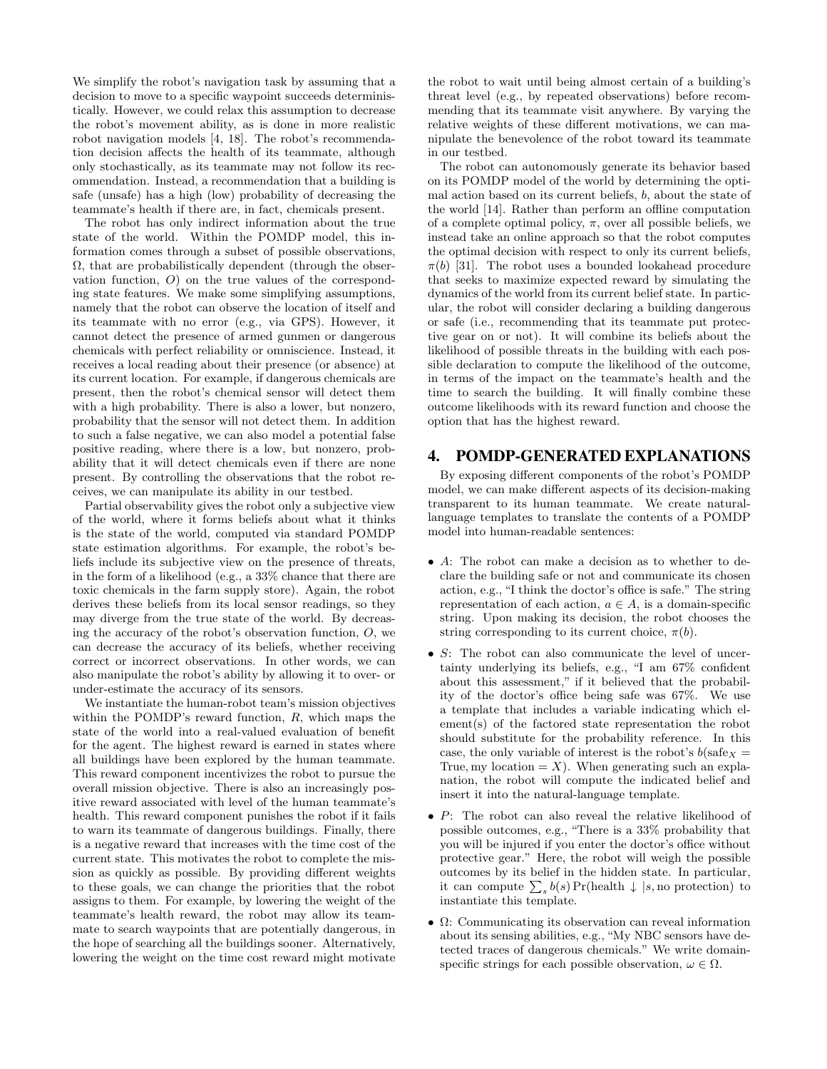We simplify the robot's navigation task by assuming that a decision to move to a specific waypoint succeeds deterministically. However, we could relax this assumption to decrease the robot's movement ability, as is done in more realistic robot navigation models [4, 18]. The robot's recommendation decision affects the health of its teammate, although only stochastically, as its teammate may not follow its recommendation. Instead, a recommendation that a building is safe (unsafe) has a high (low) probability of decreasing the teammate's health if there are, in fact, chemicals present.

The robot has only indirect information about the true state of the world. Within the POMDP model, this information comes through a subset of possible observations,  $\Omega$ , that are probabilistically dependent (through the observation function, O) on the true values of the corresponding state features. We make some simplifying assumptions, namely that the robot can observe the location of itself and its teammate with no error (e.g., via GPS). However, it cannot detect the presence of armed gunmen or dangerous chemicals with perfect reliability or omniscience. Instead, it receives a local reading about their presence (or absence) at its current location. For example, if dangerous chemicals are present, then the robot's chemical sensor will detect them with a high probability. There is also a lower, but nonzero, probability that the sensor will not detect them. In addition to such a false negative, we can also model a potential false positive reading, where there is a low, but nonzero, probability that it will detect chemicals even if there are none present. By controlling the observations that the robot receives, we can manipulate its ability in our testbed.

Partial observability gives the robot only a subjective view of the world, where it forms beliefs about what it thinks is the state of the world, computed via standard POMDP state estimation algorithms. For example, the robot's beliefs include its subjective view on the presence of threats, in the form of a likelihood (e.g., a 33% chance that there are toxic chemicals in the farm supply store). Again, the robot derives these beliefs from its local sensor readings, so they may diverge from the true state of the world. By decreasing the accuracy of the robot's observation function,  $O$ , we can decrease the accuracy of its beliefs, whether receiving correct or incorrect observations. In other words, we can also manipulate the robot's ability by allowing it to over- or under-estimate the accuracy of its sensors.

We instantiate the human-robot team's mission objectives within the POMDP's reward function,  $R$ , which maps the state of the world into a real-valued evaluation of benefit for the agent. The highest reward is earned in states where all buildings have been explored by the human teammate. This reward component incentivizes the robot to pursue the overall mission objective. There is also an increasingly positive reward associated with level of the human teammate's health. This reward component punishes the robot if it fails to warn its teammate of dangerous buildings. Finally, there is a negative reward that increases with the time cost of the current state. This motivates the robot to complete the mission as quickly as possible. By providing different weights to these goals, we can change the priorities that the robot assigns to them. For example, by lowering the weight of the teammate's health reward, the robot may allow its teammate to search waypoints that are potentially dangerous, in the hope of searching all the buildings sooner. Alternatively, lowering the weight on the time cost reward might motivate

the robot to wait until being almost certain of a building's threat level (e.g., by repeated observations) before recommending that its teammate visit anywhere. By varying the relative weights of these different motivations, we can manipulate the benevolence of the robot toward its teammate in our testbed.

The robot can autonomously generate its behavior based on its POMDP model of the world by determining the optimal action based on its current beliefs, b, about the state of the world [14]. Rather than perform an offline computation of a complete optimal policy,  $\pi$ , over all possible beliefs, we instead take an online approach so that the robot computes the optimal decision with respect to only its current beliefs,  $\pi(b)$  [31]. The robot uses a bounded lookahead procedure that seeks to maximize expected reward by simulating the dynamics of the world from its current belief state. In particular, the robot will consider declaring a building dangerous or safe (i.e., recommending that its teammate put protective gear on or not). It will combine its beliefs about the likelihood of possible threats in the building with each possible declaration to compute the likelihood of the outcome, in terms of the impact on the teammate's health and the time to search the building. It will finally combine these outcome likelihoods with its reward function and choose the option that has the highest reward.

### 4. POMDP-GENERATED EXPLANATIONS

By exposing different components of the robot's POMDP model, we can make different aspects of its decision-making transparent to its human teammate. We create naturallanguage templates to translate the contents of a POMDP model into human-readable sentences:

- A: The robot can make a decision as to whether to declare the building safe or not and communicate its chosen action, e.g., "I think the doctor's office is safe." The string representation of each action,  $a \in A$ , is a domain-specific string. Upon making its decision, the robot chooses the string corresponding to its current choice,  $\pi(b)$ .
- S: The robot can also communicate the level of uncertainty underlying its beliefs, e.g., "I am 67% confident about this assessment," if it believed that the probability of the doctor's office being safe was 67%. We use a template that includes a variable indicating which element(s) of the factored state representation the robot should substitute for the probability reference. In this case, the only variable of interest is the robot's  $b$ (safe $\chi$  = True, my location  $=X$ ). When generating such an explanation, the robot will compute the indicated belief and insert it into the natural-language template.
- P: The robot can also reveal the relative likelihood of possible outcomes, e.g., "There is a 33% probability that you will be injured if you enter the doctor's office without protective gear." Here, the robot will weigh the possible outcomes by its belief in the hidden state. In particular, it can compute  $\sum_s b(s) \Pr(\text{health } \downarrow | s, \text{no protection})$  to instantiate this template.
- $\Omega$ : Communicating its observation can reveal information about its sensing abilities, e.g., "My NBC sensors have detected traces of dangerous chemicals." We write domainspecific strings for each possible observation,  $\omega \in \Omega$ .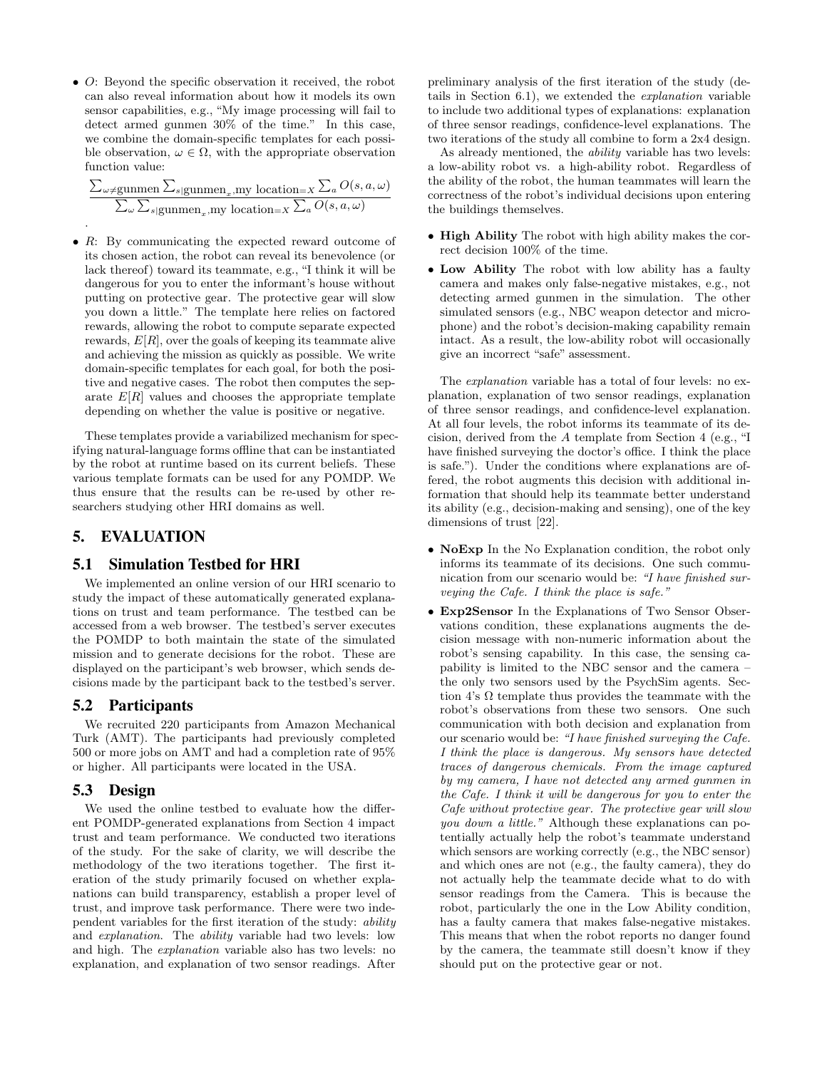• O: Beyond the specific observation it received, the robot can also reveal information about how it models its own sensor capabilities, e.g., "My image processing will fail to detect armed gunmen 30% of the time." In this case, we combine the domain-specific templates for each possible observation,  $\omega \in \Omega$ , with the appropriate observation function value:

$$
\frac{\sum_{\omega \neq \text{gunmen}_{x}, \text{my location}=X} \sum_{a} O(s, a, \omega)}{\sum_{\omega} \sum_{s \mid \text{gunmen}_{x}, \text{my location}=X} \sum_{a} O(s, a, \omega)}
$$

• R: By communicating the expected reward outcome of its chosen action, the robot can reveal its benevolence (or lack thereof) toward its teammate, e.g., "I think it will be dangerous for you to enter the informant's house without putting on protective gear. The protective gear will slow you down a little." The template here relies on factored rewards, allowing the robot to compute separate expected rewards,  $E[R]$ , over the goals of keeping its teammate alive and achieving the mission as quickly as possible. We write domain-specific templates for each goal, for both the positive and negative cases. The robot then computes the separate  $E[R]$  values and chooses the appropriate template depending on whether the value is positive or negative.

These templates provide a variabilized mechanism for specifying natural-language forms offline that can be instantiated by the robot at runtime based on its current beliefs. These various template formats can be used for any POMDP. We thus ensure that the results can be re-used by other researchers studying other HRI domains as well.

# 5. EVALUATION

#### 5.1 Simulation Testbed for HRI

We implemented an online version of our HRI scenario to study the impact of these automatically generated explanations on trust and team performance. The testbed can be accessed from a web browser. The testbed's server executes the POMDP to both maintain the state of the simulated mission and to generate decisions for the robot. These are displayed on the participant's web browser, which sends decisions made by the participant back to the testbed's server.

### 5.2 Participants

We recruited 220 participants from Amazon Mechanical Turk (AMT). The participants had previously completed 500 or more jobs on AMT and had a completion rate of 95% or higher. All participants were located in the USA.

#### 5.3 Design

We used the online testbed to evaluate how the different POMDP-generated explanations from Section 4 impact trust and team performance. We conducted two iterations of the study. For the sake of clarity, we will describe the methodology of the two iterations together. The first iteration of the study primarily focused on whether explanations can build transparency, establish a proper level of trust, and improve task performance. There were two independent variables for the first iteration of the study: ability and explanation. The ability variable had two levels: low and high. The explanation variable also has two levels: no explanation, and explanation of two sensor readings. After preliminary analysis of the first iteration of the study (details in Section 6.1), we extended the explanation variable to include two additional types of explanations: explanation of three sensor readings, confidence-level explanations. The two iterations of the study all combine to form a 2x4 design.

As already mentioned, the *ability* variable has two levels: a low-ability robot vs. a high-ability robot. Regardless of the ability of the robot, the human teammates will learn the correctness of the robot's individual decisions upon entering the buildings themselves.

- High Ability The robot with high ability makes the correct decision 100% of the time.
- Low Ability The robot with low ability has a faulty camera and makes only false-negative mistakes, e.g., not detecting armed gunmen in the simulation. The other simulated sensors (e.g., NBC weapon detector and microphone) and the robot's decision-making capability remain intact. As a result, the low-ability robot will occasionally give an incorrect "safe" assessment.

The *explanation* variable has a total of four levels: no explanation, explanation of two sensor readings, explanation of three sensor readings, and confidence-level explanation. At all four levels, the robot informs its teammate of its decision, derived from the A template from Section 4 (e.g., "I have finished surveying the doctor's office. I think the place is safe."). Under the conditions where explanations are offered, the robot augments this decision with additional information that should help its teammate better understand its ability (e.g., decision-making and sensing), one of the key dimensions of trust [22].

- NoExp In the No Explanation condition, the robot only informs its teammate of its decisions. One such communication from our scenario would be: "I have finished surveying the Cafe. I think the place is safe."
- Exp2Sensor In the Explanations of Two Sensor Observations condition, these explanations augments the decision message with non-numeric information about the robot's sensing capability. In this case, the sensing capability is limited to the NBC sensor and the camera – the only two sensors used by the PsychSim agents. Section 4's  $\Omega$  template thus provides the teammate with the robot's observations from these two sensors. One such communication with both decision and explanation from our scenario would be: "I have finished surveying the Cafe. I think the place is dangerous. My sensors have detected traces of dangerous chemicals. From the image captured by my camera, I have not detected any armed gunmen in the Cafe. I think it will be dangerous for you to enter the Cafe without protective gear. The protective gear will slow you down a little." Although these explanations can potentially actually help the robot's teammate understand which sensors are working correctly (e.g., the NBC sensor) and which ones are not (e.g., the faulty camera), they do not actually help the teammate decide what to do with sensor readings from the Camera. This is because the robot, particularly the one in the Low Ability condition, has a faulty camera that makes false-negative mistakes. This means that when the robot reports no danger found by the camera, the teammate still doesn't know if they should put on the protective gear or not.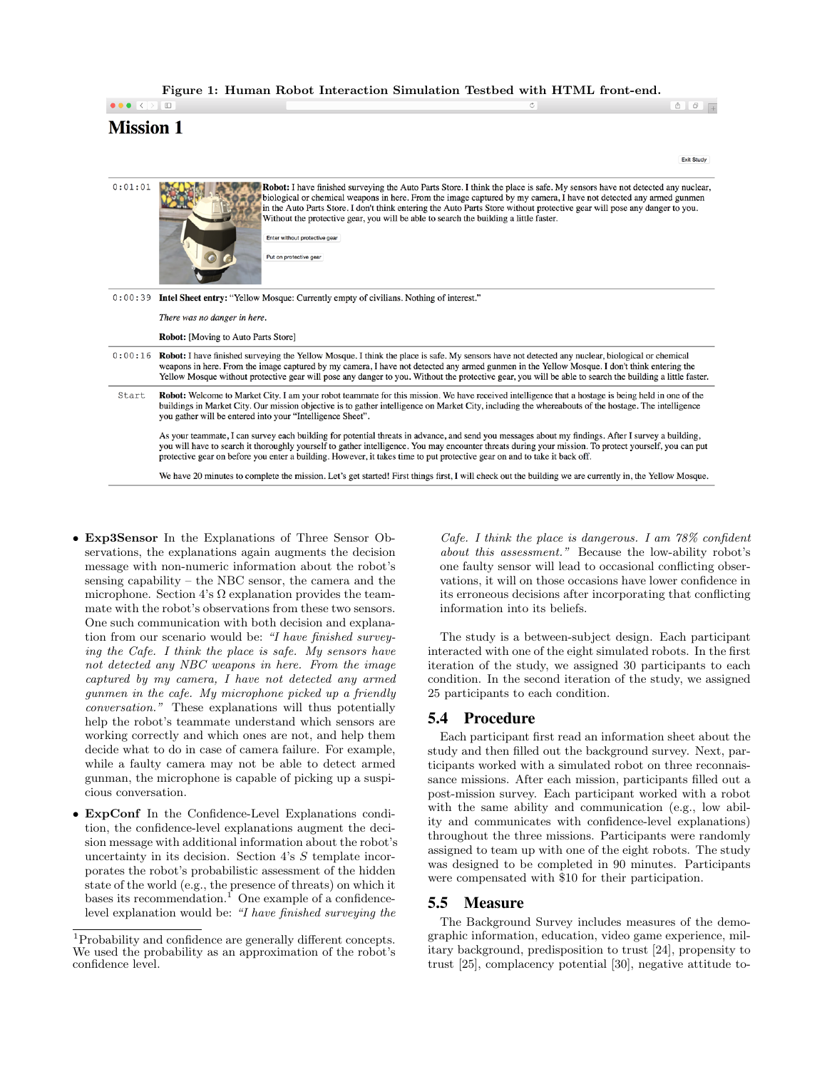Figure 1: Human Robot Interaction Simulation Testbed with HTML front-end.

# $\bullet \bullet \bullet [\overline{\leftarrow}] \supseteq \boxed{\boxplus}$ **Mission 1**

Exit Study

 $\hat{\Phi}$   $\hat{\theta}$   $\hat{\theta}$  +

| 0:01:01 | Robot: I have finished surveying the Auto Parts Store. I think the place is safe. My sensors have not detected any nuclear,<br>biological or chemical weapons in here. From the image captured by my camera, I have not detected any armed gunmen<br>in the Auto Parts Store. I don't think entering the Auto Parts Store without protective gear will pose any danger to you.<br>Without the protective gear, you will be able to search the building a little faster.<br>Enter without protective gear<br>Put on protective gear |  |  |
|---------|------------------------------------------------------------------------------------------------------------------------------------------------------------------------------------------------------------------------------------------------------------------------------------------------------------------------------------------------------------------------------------------------------------------------------------------------------------------------------------------------------------------------------------|--|--|
| 0:00:39 | <b>Intel Sheet entry:</b> "Yellow Mosque: Currently empty of civilians. Nothing of interest."                                                                                                                                                                                                                                                                                                                                                                                                                                      |  |  |
|         | There was no danger in here.                                                                                                                                                                                                                                                                                                                                                                                                                                                                                                       |  |  |
|         | <b>Robot:</b> [Moving to Auto Parts Store]                                                                                                                                                                                                                                                                                                                                                                                                                                                                                         |  |  |
| 0:00:16 | Robot: I have finished surveying the Yellow Mosque. I think the place is safe. My sensors have not detected any nuclear, biological or chemical<br>weapons in here. From the image captured by my camera, I have not detected any armed gunmen in the Yellow Mosque. I don't think entering the<br>Yellow Mosque without protective gear will pose any danger to you. Without the protective gear, you will be able to search the building a little faster.                                                                        |  |  |
| Start   | Robot: Welcome to Market City. I am your robot teammate for this mission. We have received intelligence that a hostage is being held in one of the<br>buildings in Market City. Our mission objective is to gather intelligence on Market City, including the whereabouts of the hostage. The intelligence<br>you gather will be entered into your "Intelligence Sheet".                                                                                                                                                           |  |  |
|         | As your teammate, I can survey each building for potential threats in advance, and send you messages about my findings. After I survey a building,<br>you will have to search it thoroughly yourself to gather intelligence. You may encounter threats during your mission. To protect yourself, you can put<br>protective gear on before you enter a building. However, it takes time to put protective gear on and to take it back off.                                                                                          |  |  |
|         | We have 20 minutes to complete the mission. Let's get started! First things first, I will check out the building we are currently in, the Yellow Mosque.                                                                                                                                                                                                                                                                                                                                                                           |  |  |

- Exp3Sensor In the Explanations of Three Sensor Observations, the explanations again augments the decision message with non-numeric information about the robot's sensing capability – the NBC sensor, the camera and the microphone. Section 4's  $\Omega$  explanation provides the teammate with the robot's observations from these two sensors. One such communication with both decision and explanation from our scenario would be: "I have finished surveying the Cafe. I think the place is safe. My sensors have not detected any NBC weapons in here. From the image captured by my camera, I have not detected any armed gunmen in the cafe. My microphone picked up a friendly conversation." These explanations will thus potentially help the robot's teammate understand which sensors are working correctly and which ones are not, and help them decide what to do in case of camera failure. For example, while a faulty camera may not be able to detect armed gunman, the microphone is capable of picking up a suspicious conversation.
- ExpConf In the Confidence-Level Explanations condition, the confidence-level explanations augment the decision message with additional information about the robot's uncertainty in its decision. Section 4's S template incorporates the robot's probabilistic assessment of the hidden state of the world (e.g., the presence of threats) on which it bases its recommendation.<sup>1</sup> One example of a confidencelevel explanation would be: "I have finished surveying the

Cafe. I think the place is dangerous. I am 78% confident about this assessment." Because the low-ability robot's one faulty sensor will lead to occasional conflicting observations, it will on those occasions have lower confidence in its erroneous decisions after incorporating that conflicting information into its beliefs.

The study is a between-subject design. Each participant interacted with one of the eight simulated robots. In the first iteration of the study, we assigned 30 participants to each condition. In the second iteration of the study, we assigned 25 participants to each condition.

### 5.4 Procedure

Each participant first read an information sheet about the study and then filled out the background survey. Next, participants worked with a simulated robot on three reconnaissance missions. After each mission, participants filled out a post-mission survey. Each participant worked with a robot with the same ability and communication (e.g., low ability and communicates with confidence-level explanations) throughout the three missions. Participants were randomly assigned to team up with one of the eight robots. The study was designed to be completed in 90 minutes. Participants were compensated with \$10 for their participation.

### 5.5 Measure

The Background Survey includes measures of the demographic information, education, video game experience, military background, predisposition to trust [24], propensity to trust [25], complacency potential [30], negative attitude to-

 $^{\rm 1}$  Probability and confidence are generally different concepts. We used the probability as an approximation of the robot's confidence level.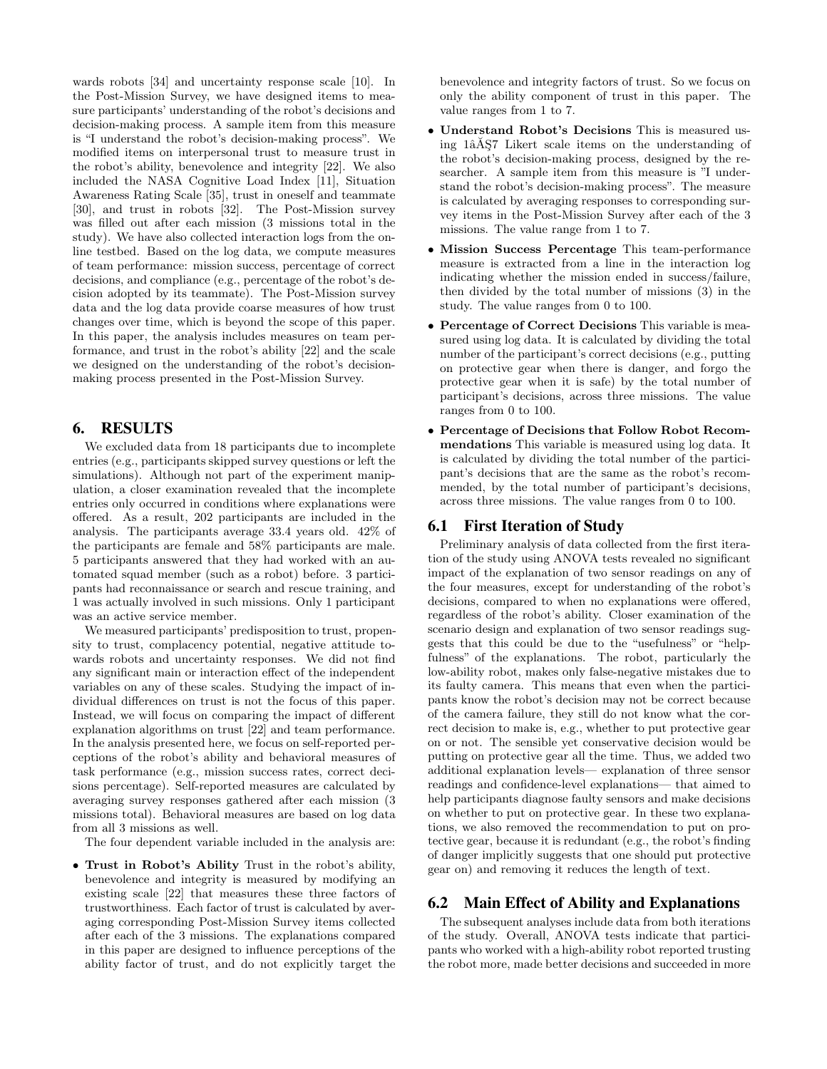wards robots [34] and uncertainty response scale [10]. In the Post-Mission Survey, we have designed items to measure participants' understanding of the robot's decisions and decision-making process. A sample item from this measure is "I understand the robot's decision-making process". We modified items on interpersonal trust to measure trust in the robot's ability, benevolence and integrity [22]. We also included the NASA Cognitive Load Index [11], Situation Awareness Rating Scale [35], trust in oneself and teammate [30], and trust in robots [32]. The Post-Mission survey was filled out after each mission (3 missions total in the study). We have also collected interaction logs from the online testbed. Based on the log data, we compute measures of team performance: mission success, percentage of correct decisions, and compliance (e.g., percentage of the robot's decision adopted by its teammate). The Post-Mission survey data and the log data provide coarse measures of how trust changes over time, which is beyond the scope of this paper. In this paper, the analysis includes measures on team performance, and trust in the robot's ability [22] and the scale we designed on the understanding of the robot's decisionmaking process presented in the Post-Mission Survey.

### 6. RESULTS

We excluded data from 18 participants due to incomplete entries (e.g., participants skipped survey questions or left the simulations). Although not part of the experiment manipulation, a closer examination revealed that the incomplete entries only occurred in conditions where explanations were offered. As a result, 202 participants are included in the analysis. The participants average 33.4 years old. 42% of the participants are female and 58% participants are male. 5 participants answered that they had worked with an automated squad member (such as a robot) before. 3 participants had reconnaissance or search and rescue training, and 1 was actually involved in such missions. Only 1 participant was an active service member.

We measured participants' predisposition to trust, propensity to trust, complacency potential, negative attitude towards robots and uncertainty responses. We did not find any significant main or interaction effect of the independent variables on any of these scales. Studying the impact of individual differences on trust is not the focus of this paper. Instead, we will focus on comparing the impact of different explanation algorithms on trust [22] and team performance. In the analysis presented here, we focus on self-reported perceptions of the robot's ability and behavioral measures of task performance (e.g., mission success rates, correct decisions percentage). Self-reported measures are calculated by averaging survey responses gathered after each mission (3 missions total). Behavioral measures are based on log data from all 3 missions as well.

The four dependent variable included in the analysis are:

• Trust in Robot's Ability Trust in the robot's ability, benevolence and integrity is measured by modifying an existing scale [22] that measures these three factors of trustworthiness. Each factor of trust is calculated by averaging corresponding Post-Mission Survey items collected after each of the 3 missions. The explanations compared in this paper are designed to influence perceptions of the ability factor of trust, and do not explicitly target the benevolence and integrity factors of trust. So we focus on only the ability component of trust in this paper. The value ranges from 1 to 7.

- Understand Robot's Decisions This is measured using 1 $\hat{a}$ AŞ7 Likert scale items on the understanding of the robot's decision-making process, designed by the researcher. A sample item from this measure is "I understand the robot's decision-making process". The measure is calculated by averaging responses to corresponding survey items in the Post-Mission Survey after each of the 3 missions. The value range from 1 to 7.
- Mission Success Percentage This team-performance measure is extracted from a line in the interaction log indicating whether the mission ended in success/failure, then divided by the total number of missions (3) in the study. The value ranges from 0 to 100.
- Percentage of Correct Decisions This variable is measured using log data. It is calculated by dividing the total number of the participant's correct decisions (e.g., putting on protective gear when there is danger, and forgo the protective gear when it is safe) by the total number of participant's decisions, across three missions. The value ranges from 0 to 100.
- Percentage of Decisions that Follow Robot Recommendations This variable is measured using log data. It is calculated by dividing the total number of the participant's decisions that are the same as the robot's recommended, by the total number of participant's decisions, across three missions. The value ranges from 0 to 100.

# 6.1 First Iteration of Study

Preliminary analysis of data collected from the first iteration of the study using ANOVA tests revealed no significant impact of the explanation of two sensor readings on any of the four measures, except for understanding of the robot's decisions, compared to when no explanations were offered, regardless of the robot's ability. Closer examination of the scenario design and explanation of two sensor readings suggests that this could be due to the "usefulness" or "helpfulness" of the explanations. The robot, particularly the low-ability robot, makes only false-negative mistakes due to its faulty camera. This means that even when the participants know the robot's decision may not be correct because of the camera failure, they still do not know what the correct decision to make is, e.g., whether to put protective gear on or not. The sensible yet conservative decision would be putting on protective gear all the time. Thus, we added two additional explanation levels— explanation of three sensor readings and confidence-level explanations— that aimed to help participants diagnose faulty sensors and make decisions on whether to put on protective gear. In these two explanations, we also removed the recommendation to put on protective gear, because it is redundant (e.g., the robot's finding of danger implicitly suggests that one should put protective gear on) and removing it reduces the length of text.

# 6.2 Main Effect of Ability and Explanations

The subsequent analyses include data from both iterations of the study. Overall, ANOVA tests indicate that participants who worked with a high-ability robot reported trusting the robot more, made better decisions and succeeded in more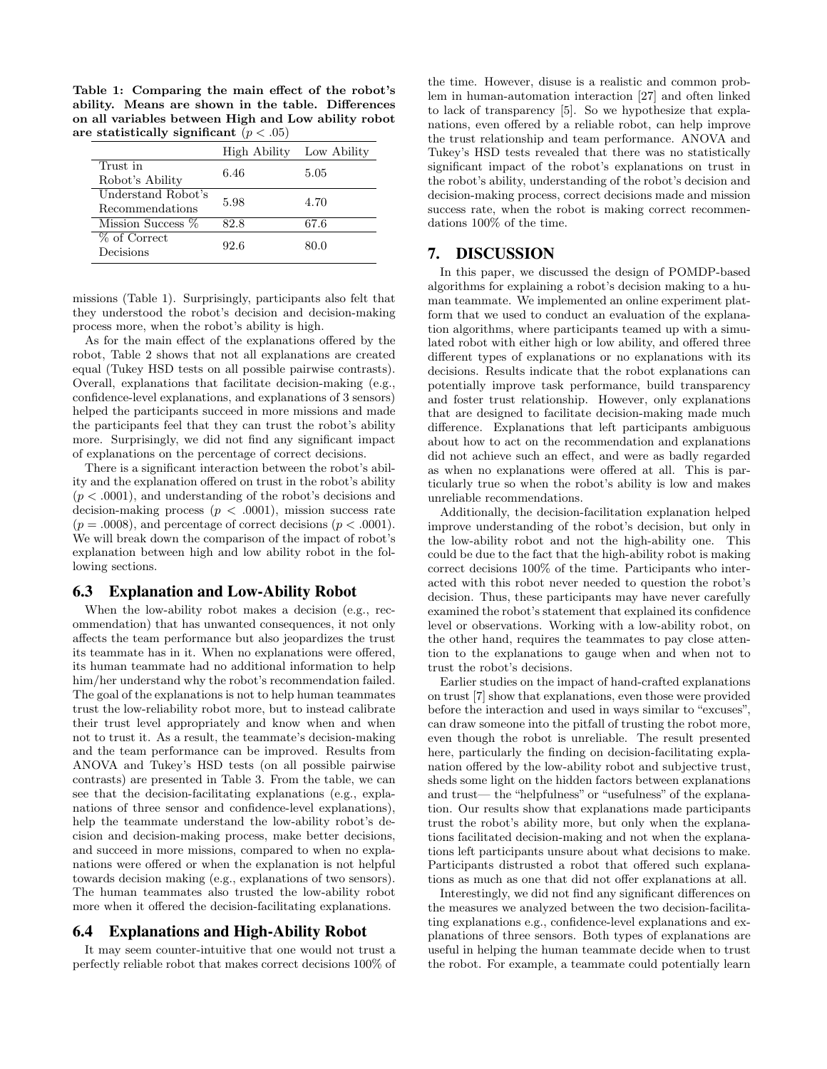Table 1: Comparing the main effect of the robot's ability. Means are shown in the table. Differences on all variables between High and Low ability robot are statistically significant  $(p < .05)$ 

|                                       | High Ability Low Ability |      |
|---------------------------------------|--------------------------|------|
| Trust in<br>Robot's Ability           | 6.46                     | 5.05 |
| Understand Robot's<br>Recommendations | 5.98                     | 4.70 |
| Mission Success %                     | 82.8                     | 67.6 |
| % of Correct<br>Decisions             | 92.6                     | 80.0 |

missions (Table 1). Surprisingly, participants also felt that they understood the robot's decision and decision-making process more, when the robot's ability is high.

As for the main effect of the explanations offered by the robot, Table 2 shows that not all explanations are created equal (Tukey HSD tests on all possible pairwise contrasts). Overall, explanations that facilitate decision-making (e.g., confidence-level explanations, and explanations of 3 sensors) helped the participants succeed in more missions and made the participants feel that they can trust the robot's ability more. Surprisingly, we did not find any significant impact of explanations on the percentage of correct decisions.

There is a significant interaction between the robot's ability and the explanation offered on trust in the robot's ability  $(p < .0001)$ , and understanding of the robot's decisions and decision-making process ( $p < .0001$ ), mission success rate  $(p = .0008)$ , and percentage of correct decisions  $(p < .0001)$ . We will break down the comparison of the impact of robot's explanation between high and low ability robot in the following sections.

#### 6.3 Explanation and Low-Ability Robot

When the low-ability robot makes a decision (e.g., recommendation) that has unwanted consequences, it not only affects the team performance but also jeopardizes the trust its teammate has in it. When no explanations were offered, its human teammate had no additional information to help him/her understand why the robot's recommendation failed. The goal of the explanations is not to help human teammates trust the low-reliability robot more, but to instead calibrate their trust level appropriately and know when and when not to trust it. As a result, the teammate's decision-making and the team performance can be improved. Results from ANOVA and Tukey's HSD tests (on all possible pairwise contrasts) are presented in Table 3. From the table, we can see that the decision-facilitating explanations (e.g., explanations of three sensor and confidence-level explanations), help the teammate understand the low-ability robot's decision and decision-making process, make better decisions, and succeed in more missions, compared to when no explanations were offered or when the explanation is not helpful towards decision making (e.g., explanations of two sensors). The human teammates also trusted the low-ability robot more when it offered the decision-facilitating explanations.

#### 6.4 Explanations and High-Ability Robot

It may seem counter-intuitive that one would not trust a perfectly reliable robot that makes correct decisions 100% of the time. However, disuse is a realistic and common problem in human-automation interaction [27] and often linked to lack of transparency [5]. So we hypothesize that explanations, even offered by a reliable robot, can help improve the trust relationship and team performance. ANOVA and Tukey's HSD tests revealed that there was no statistically significant impact of the robot's explanations on trust in the robot's ability, understanding of the robot's decision and decision-making process, correct decisions made and mission success rate, when the robot is making correct recommendations 100% of the time.

### 7. DISCUSSION

In this paper, we discussed the design of POMDP-based algorithms for explaining a robot's decision making to a human teammate. We implemented an online experiment platform that we used to conduct an evaluation of the explanation algorithms, where participants teamed up with a simulated robot with either high or low ability, and offered three different types of explanations or no explanations with its decisions. Results indicate that the robot explanations can potentially improve task performance, build transparency and foster trust relationship. However, only explanations that are designed to facilitate decision-making made much difference. Explanations that left participants ambiguous about how to act on the recommendation and explanations did not achieve such an effect, and were as badly regarded as when no explanations were offered at all. This is particularly true so when the robot's ability is low and makes unreliable recommendations.

Additionally, the decision-facilitation explanation helped improve understanding of the robot's decision, but only in the low-ability robot and not the high-ability one. This could be due to the fact that the high-ability robot is making correct decisions 100% of the time. Participants who interacted with this robot never needed to question the robot's decision. Thus, these participants may have never carefully examined the robot's statement that explained its confidence level or observations. Working with a low-ability robot, on the other hand, requires the teammates to pay close attention to the explanations to gauge when and when not to trust the robot's decisions.

Earlier studies on the impact of hand-crafted explanations on trust [7] show that explanations, even those were provided before the interaction and used in ways similar to "excuses", can draw someone into the pitfall of trusting the robot more, even though the robot is unreliable. The result presented here, particularly the finding on decision-facilitating explanation offered by the low-ability robot and subjective trust, sheds some light on the hidden factors between explanations and trust— the "helpfulness" or "usefulness" of the explanation. Our results show that explanations made participants trust the robot's ability more, but only when the explanations facilitated decision-making and not when the explanations left participants unsure about what decisions to make. Participants distrusted a robot that offered such explanations as much as one that did not offer explanations at all.

Interestingly, we did not find any significant differences on the measures we analyzed between the two decision-facilitating explanations e.g., confidence-level explanations and explanations of three sensors. Both types of explanations are useful in helping the human teammate decide when to trust the robot. For example, a teammate could potentially learn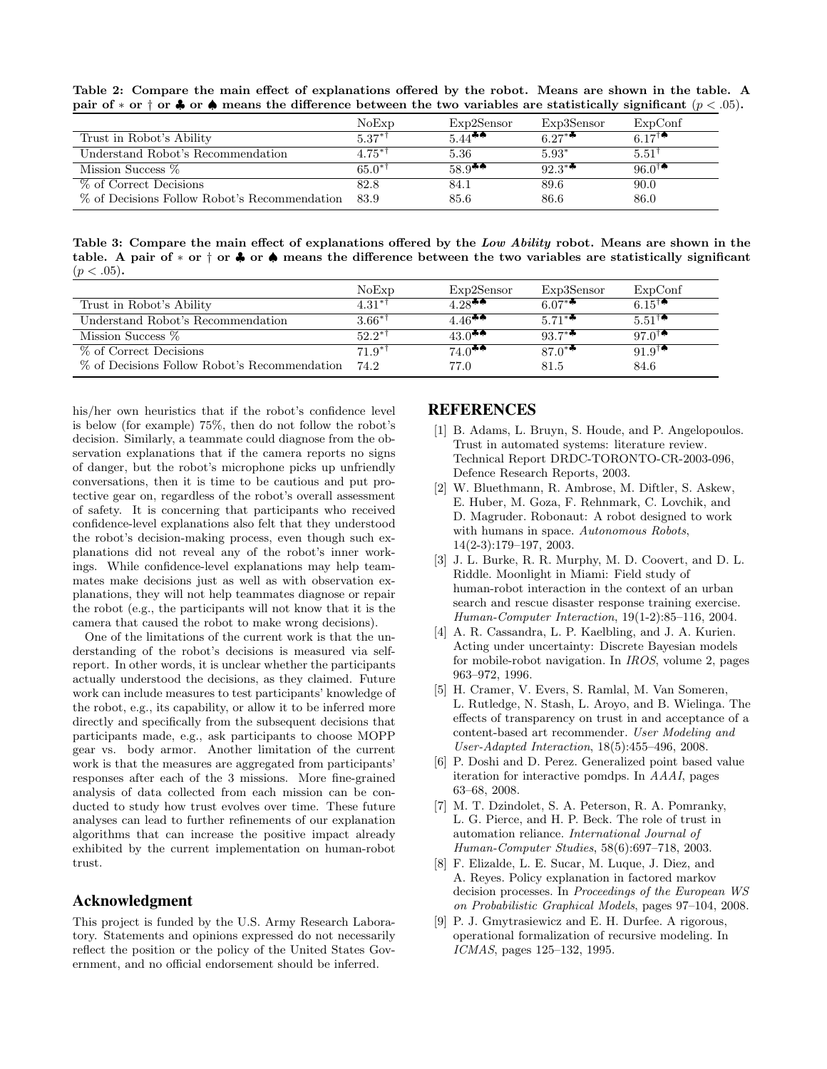Table 2: Compare the main effect of explanations offered by the robot. Means are shown in the table. A pair of  $*$  or  $*$  or  $*$  or  $*$  means the difference between the two variables are statistically significant  $(p < .05)$ .

|                                              | NoExp       | Exp2Sensor            | Exp3Sensor                               | ExpConf                               |
|----------------------------------------------|-------------|-----------------------|------------------------------------------|---------------------------------------|
| Trust in Robot's Ability                     | $5.37**$    | $5.44$ <sup>\$4</sup> | 6.27 $*$ <sup><math>\bullet</math></sup> | 6.17 <sup><math>\uparrow</math></sup> |
| Understand Robot's Recommendation            | $4.75^{*1}$ | 5.36                  | $5.93*$                                  | $5.51^{\dagger}$                      |
| Mission Success %                            | $65.0**$    | $58.9$ <sup>**</sup>  | $92.3**$                                 | $96.0^{\dagger}$                      |
| % of Correct Decisions                       | 82.8        | 84.1                  | 89.6                                     | 90.0                                  |
| % of Decisions Follow Robot's Recommendation | 83.9        | 85.6                  | 86.6                                     | 86.0                                  |

Table 3: Compare the main effect of explanations offered by the Low Ability robot. Means are shown in the table. A pair of ∗ or † or ♣ or ♠ means the difference between the two variables are statistically significant  $(p < .05)$ .

|                                              | NoExp                   | Exp2Sensor           | Exp3Sensor | ExpConf                              |
|----------------------------------------------|-------------------------|----------------------|------------|--------------------------------------|
| Trust in Robot's Ability                     | $4.31**$                | $4.28$ <sup>**</sup> | 6.07**     | 6.15 <sup><math>\bullet</math></sup> |
| Understand Robot's Recommendation            | $3.66^{*}$ <sup>†</sup> | 4.46 <sup>**</sup>   | $5.71**$   | $5.51^{1}$                           |
| Mission Success %                            | $52.2**$                | $43.0$ <sup>**</sup> | $93.7**$   | 97. $0^{\dagger}$                    |
| % of Correct Decisions                       | $71.9^{*}$              | $74.0$ <sup>**</sup> | $87.0^{*}$ | $91.9^{\dagger}$                     |
| % of Decisions Follow Robot's Recommendation | 74.2                    | 77.0                 | 81.5       | 84.6                                 |

his/her own heuristics that if the robot's confidence level is below (for example) 75%, then do not follow the robot's decision. Similarly, a teammate could diagnose from the observation explanations that if the camera reports no signs of danger, but the robot's microphone picks up unfriendly conversations, then it is time to be cautious and put protective gear on, regardless of the robot's overall assessment of safety. It is concerning that participants who received confidence-level explanations also felt that they understood the robot's decision-making process, even though such explanations did not reveal any of the robot's inner workings. While confidence-level explanations may help teammates make decisions just as well as with observation explanations, they will not help teammates diagnose or repair the robot (e.g., the participants will not know that it is the camera that caused the robot to make wrong decisions).

One of the limitations of the current work is that the understanding of the robot's decisions is measured via selfreport. In other words, it is unclear whether the participants actually understood the decisions, as they claimed. Future work can include measures to test participants' knowledge of the robot, e.g., its capability, or allow it to be inferred more directly and specifically from the subsequent decisions that participants made, e.g., ask participants to choose MOPP gear vs. body armor. Another limitation of the current work is that the measures are aggregated from participants' responses after each of the 3 missions. More fine-grained analysis of data collected from each mission can be conducted to study how trust evolves over time. These future analyses can lead to further refinements of our explanation algorithms that can increase the positive impact already exhibited by the current implementation on human-robot trust.

### Acknowledgment

This project is funded by the U.S. Army Research Laboratory. Statements and opinions expressed do not necessarily reflect the position or the policy of the United States Government, and no official endorsement should be inferred.

### REFERENCES

- [1] B. Adams, L. Bruyn, S. Houde, and P. Angelopoulos. Trust in automated systems: literature review. Technical Report DRDC-TORONTO-CR-2003-096, Defence Research Reports, 2003.
- [2] W. Bluethmann, R. Ambrose, M. Diftler, S. Askew, E. Huber, M. Goza, F. Rehnmark, C. Lovchik, and D. Magruder. Robonaut: A robot designed to work with humans in space. Autonomous Robots, 14(2-3):179–197, 2003.
- [3] J. L. Burke, R. R. Murphy, M. D. Coovert, and D. L. Riddle. Moonlight in Miami: Field study of human-robot interaction in the context of an urban search and rescue disaster response training exercise. Human-Computer Interaction, 19(1-2):85–116, 2004.
- [4] A. R. Cassandra, L. P. Kaelbling, and J. A. Kurien. Acting under uncertainty: Discrete Bayesian models for mobile-robot navigation. In IROS, volume 2, pages 963–972, 1996.
- [5] H. Cramer, V. Evers, S. Ramlal, M. Van Someren, L. Rutledge, N. Stash, L. Aroyo, and B. Wielinga. The effects of transparency on trust in and acceptance of a content-based art recommender. User Modeling and User-Adapted Interaction, 18(5):455–496, 2008.
- [6] P. Doshi and D. Perez. Generalized point based value iteration for interactive pomdps. In AAAI, pages 63–68, 2008.
- [7] M. T. Dzindolet, S. A. Peterson, R. A. Pomranky, L. G. Pierce, and H. P. Beck. The role of trust in automation reliance. International Journal of Human-Computer Studies, 58(6):697–718, 2003.
- [8] F. Elizalde, L. E. Sucar, M. Luque, J. Diez, and A. Reyes. Policy explanation in factored markov decision processes. In Proceedings of the European WS on Probabilistic Graphical Models, pages 97–104, 2008.
- [9] P. J. Gmytrasiewicz and E. H. Durfee. A rigorous, operational formalization of recursive modeling. In ICMAS, pages 125–132, 1995.